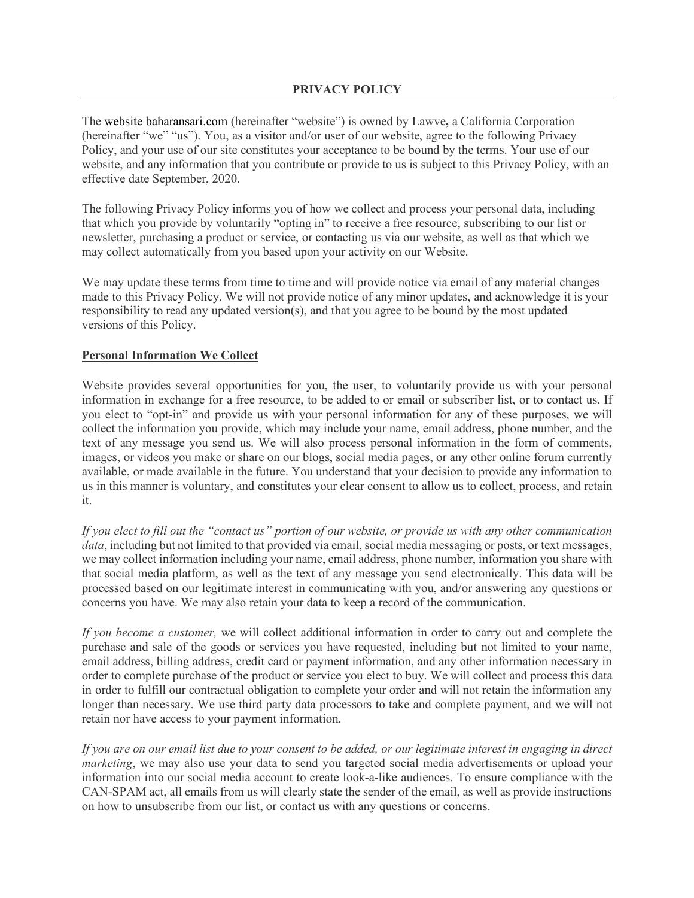The website baharansari.com (hereinafter "website") is owned by Lawve**,** a California Corporation (hereinafter "we" "us"). You, as a visitor and/or user of our website, agree to the following Privacy Policy, and your use of our site constitutes your acceptance to be bound by the terms. Your use of our website, and any information that you contribute or provide to us is subject to this Privacy Policy, with an effective date September, 2020.

The following Privacy Policy informs you of how we collect and process your personal data, including that which you provide by voluntarily "opting in" to receive a free resource, subscribing to our list or newsletter, purchasing a product or service, or contacting us via our website, as well as that which we may collect automatically from you based upon your activity on our Website.

We may update these terms from time to time and will provide notice via email of any material changes made to this Privacy Policy. We will not provide notice of any minor updates, and acknowledge it is your responsibility to read any updated version(s), and that you agree to be bound by the most updated versions of this Policy.

## **Personal Information We Collect**

Website provides several opportunities for you, the user, to voluntarily provide us with your personal information in exchange for a free resource, to be added to or email or subscriber list, or to contact us. If you elect to "opt-in" and provide us with your personal information for any of these purposes, we will collect the information you provide, which may include your name, email address, phone number, and the text of any message you send us. We will also process personal information in the form of comments, images, or videos you make or share on our blogs, social media pages, or any other online forum currently available, or made available in the future. You understand that your decision to provide any information to us in this manner is voluntary, and constitutes your clear consent to allow us to collect, process, and retain it.

*If you elect to fill out the "contact us" portion of our website, or provide us with any other communication data*, including but not limited to that provided via email, social media messaging or posts, or text messages, we may collect information including your name, email address, phone number, information you share with that social media platform, as well as the text of any message you send electronically. This data will be processed based on our legitimate interest in communicating with you, and/or answering any questions or concerns you have. We may also retain your data to keep a record of the communication.

*If you become a customer,* we will collect additional information in order to carry out and complete the purchase and sale of the goods or services you have requested, including but not limited to your name, email address, billing address, credit card or payment information, and any other information necessary in order to complete purchase of the product or service you elect to buy. We will collect and process this data in order to fulfill our contractual obligation to complete your order and will not retain the information any longer than necessary. We use third party data processors to take and complete payment, and we will not retain nor have access to your payment information.

*If you are on our email list due to your consent to be added, or our legitimate interest in engaging in direct marketing*, we may also use your data to send you targeted social media advertisements or upload your information into our social media account to create look-a-like audiences. To ensure compliance with the CAN-SPAM act, all emails from us will clearly state the sender of the email, as well as provide instructions on how to unsubscribe from our list, or contact us with any questions or concerns.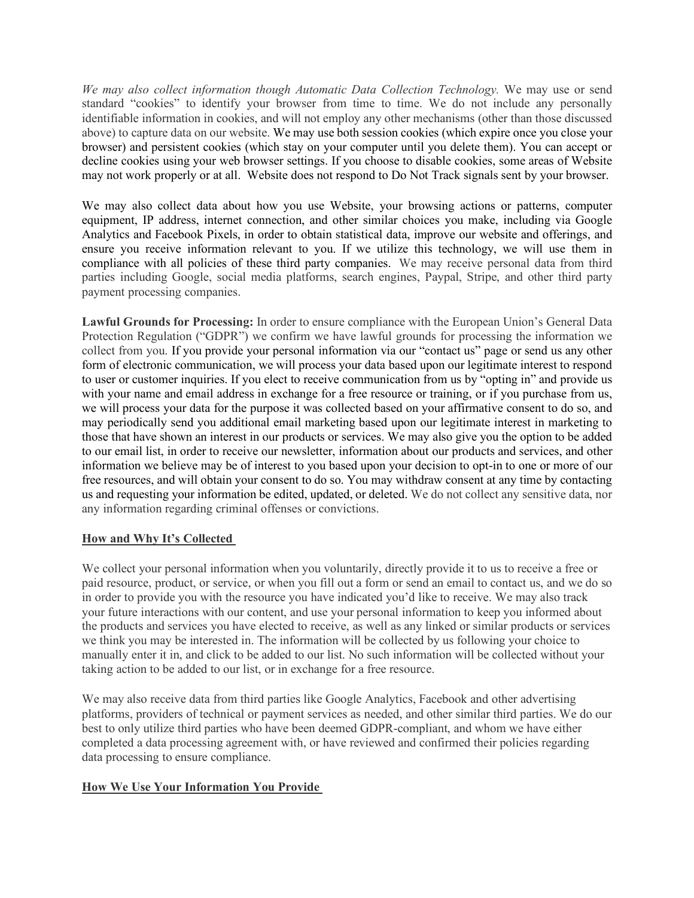*We may also collect information though Automatic Data Collection Technology.* We may use or send standard "cookies" to identify your browser from time to time. We do not include any personally identifiable information in cookies, and will not employ any other mechanisms (other than those discussed above) to capture data on our website. We may use both session cookies (which expire once you close your browser) and persistent cookies (which stay on your computer until you delete them). You can accept or decline cookies using your web browser settings. If you choose to disable cookies, some areas of Website may not work properly or at all. Website does not respond to Do Not Track signals sent by your browser.

We may also collect data about how you use Website, your browsing actions or patterns, computer equipment, IP address, internet connection, and other similar choices you make, including via Google Analytics and Facebook Pixels, in order to obtain statistical data, improve our website and offerings, and ensure you receive information relevant to you. If we utilize this technology, we will use them in compliance with all policies of these third party companies. We may receive personal data from third parties including Google, social media platforms, search engines, Paypal, Stripe, and other third party payment processing companies.

**Lawful Grounds for Processing:** In order to ensure compliance with the European Union's General Data Protection Regulation ("GDPR") we confirm we have lawful grounds for processing the information we collect from you. If you provide your personal information via our "contact us" page or send us any other form of electronic communication, we will process your data based upon our legitimate interest to respond to user or customer inquiries. If you elect to receive communication from us by "opting in" and provide us with your name and email address in exchange for a free resource or training, or if you purchase from us, we will process your data for the purpose it was collected based on your affirmative consent to do so, and may periodically send you additional email marketing based upon our legitimate interest in marketing to those that have shown an interest in our products or services. We may also give you the option to be added to our email list, in order to receive our newsletter, information about our products and services, and other information we believe may be of interest to you based upon your decision to opt-in to one or more of our free resources, and will obtain your consent to do so. You may withdraw consent at any time by contacting us and requesting your information be edited, updated, or deleted. We do not collect any sensitive data, nor any information regarding criminal offenses or convictions.

### **How and Why It's Collected**

We collect your personal information when you voluntarily, directly provide it to us to receive a free or paid resource, product, or service, or when you fill out a form or send an email to contact us, and we do so in order to provide you with the resource you have indicated you'd like to receive. We may also track your future interactions with our content, and use your personal information to keep you informed about the products and services you have elected to receive, as well as any linked or similar products or services we think you may be interested in. The information will be collected by us following your choice to manually enter it in, and click to be added to our list. No such information will be collected without your taking action to be added to our list, or in exchange for a free resource.

We may also receive data from third parties like Google Analytics, Facebook and other advertising platforms, providers of technical or payment services as needed, and other similar third parties. We do our best to only utilize third parties who have been deemed GDPR-compliant, and whom we have either completed a data processing agreement with, or have reviewed and confirmed their policies regarding data processing to ensure compliance.

## **How We Use Your Information You Provide**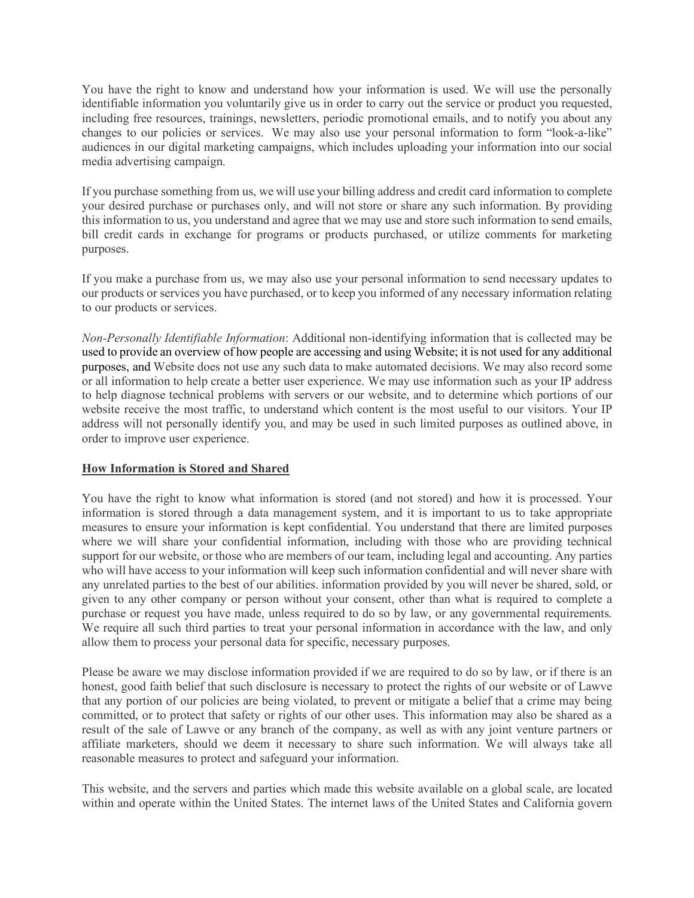You have the right to know and understand how your information is used. We will use the personally identifiable information you voluntarily give us in order to carry out the service or product you requested, including free resources, trainings, newsletters, periodic promotional emails, and to notify you about any changes to our policies or services. We may also use your personal information to form "look-a-like" audiences in our digital marketing campaigns, which includes uploading your information into our social media advertising campaign.

If you purchase something from us, we will use your billing address and credit card information to complete your desired purchase or purchases only, and will not store or share any such information. By providing this information to us, you understand and agree that we may use and store such information to send emails, bill credit cards in exchange for programs or products purchased, or utilize comments for marketing purposes.

If you make a purchase from us, we may also use your personal information to send necessary updates to our products or services you have purchased, or to keep you informed of any necessary information relating to our products or services.

*Non-Personally Identifiable Information*: Additional non-identifying information that is collected may be used to provide an overview of how people are accessing and using Website; it is not used for any additional purposes, and Website does not use any such data to make automated decisions. We may also record some or all information to help create a better user experience. We may use information such as your IP address to help diagnose technical problems with servers or our website, and to determine which portions of our website receive the most traffic, to understand which content is the most useful to our visitors. Your IP address will not personally identify you, and may be used in such limited purposes as outlined above, in order to improve user experience.

### **How Information is Stored and Shared**

You have the right to know what information is stored (and not stored) and how it is processed. Your information is stored through a data management system, and it is important to us to take appropriate measures to ensure your information is kept confidential. You understand that there are limited purposes where we will share your confidential information, including with those who are providing technical support for our website, or those who are members of our team, including legal and accounting. Any parties who will have access to your information will keep such information confidential and will never share with any unrelated parties to the best of our abilities. information provided by you will never be shared, sold, or given to any other company or person without your consent, other than what is required to complete a purchase or request you have made, unless required to do so by law, or any governmental requirements. We require all such third parties to treat your personal information in accordance with the law, and only allow them to process your personal data for specific, necessary purposes.

Please be aware we may disclose information provided if we are required to do so by law, or if there is an honest, good faith belief that such disclosure is necessary to protect the rights of our website or of Lawve that any portion of our policies are being violated, to prevent or mitigate a belief that a crime may being committed, or to protect that safety or rights of our other uses. This information may also be shared as a result of the sale of Lawve or any branch of the company, as well as with any joint venture partners or affiliate marketers, should we deem it necessary to share such information. We will always take all reasonable measures to protect and safeguard your information.

This website, and the servers and parties which made this website available on a global scale, are located within and operate within the United States. The internet laws of the United States and California govern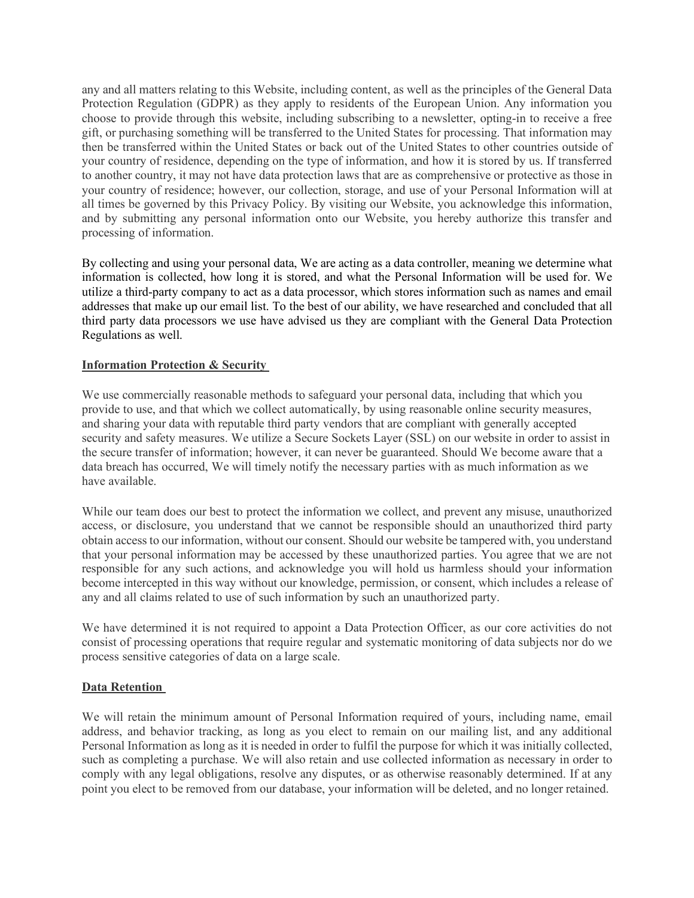any and all matters relating to this Website, including content, as well as the principles of the General Data Protection Regulation (GDPR) as they apply to residents of the European Union. Any information you choose to provide through this website, including subscribing to a newsletter, opting-in to receive a free gift, or purchasing something will be transferred to the United States for processing. That information may then be transferred within the United States or back out of the United States to other countries outside of your country of residence, depending on the type of information, and how it is stored by us. If transferred to another country, it may not have data protection laws that are as comprehensive or protective as those in your country of residence; however, our collection, storage, and use of your Personal Information will at all times be governed by this Privacy Policy. By visiting our Website, you acknowledge this information, and by submitting any personal information onto our Website, you hereby authorize this transfer and processing of information.

By collecting and using your personal data, We are acting as a data controller, meaning we determine what information is collected, how long it is stored, and what the Personal Information will be used for. We utilize a third-party company to act as a data processor, which stores information such as names and email addresses that make up our email list. To the best of our ability, we have researched and concluded that all third party data processors we use have advised us they are compliant with the General Data Protection Regulations as well.

## **Information Protection & Security**

We use commercially reasonable methods to safeguard your personal data, including that which you provide to use, and that which we collect automatically, by using reasonable online security measures, and sharing your data with reputable third party vendors that are compliant with generally accepted security and safety measures. We utilize a Secure Sockets Layer (SSL) on our website in order to assist in the secure transfer of information; however, it can never be guaranteed. Should We become aware that a data breach has occurred, We will timely notify the necessary parties with as much information as we have available.

While our team does our best to protect the information we collect, and prevent any misuse, unauthorized access, or disclosure, you understand that we cannot be responsible should an unauthorized third party obtain access to our information, without our consent. Should our website be tampered with, you understand that your personal information may be accessed by these unauthorized parties. You agree that we are not responsible for any such actions, and acknowledge you will hold us harmless should your information become intercepted in this way without our knowledge, permission, or consent, which includes a release of any and all claims related to use of such information by such an unauthorized party.

We have determined it is not required to appoint a Data Protection Officer, as our core activities do not consist of processing operations that require regular and systematic monitoring of data subjects nor do we process sensitive categories of data on a large scale.

### **Data Retention**

We will retain the minimum amount of Personal Information required of yours, including name, email address, and behavior tracking, as long as you elect to remain on our mailing list, and any additional Personal Information as long as it is needed in order to fulfil the purpose for which it was initially collected, such as completing a purchase. We will also retain and use collected information as necessary in order to comply with any legal obligations, resolve any disputes, or as otherwise reasonably determined. If at any point you elect to be removed from our database, your information will be deleted, and no longer retained.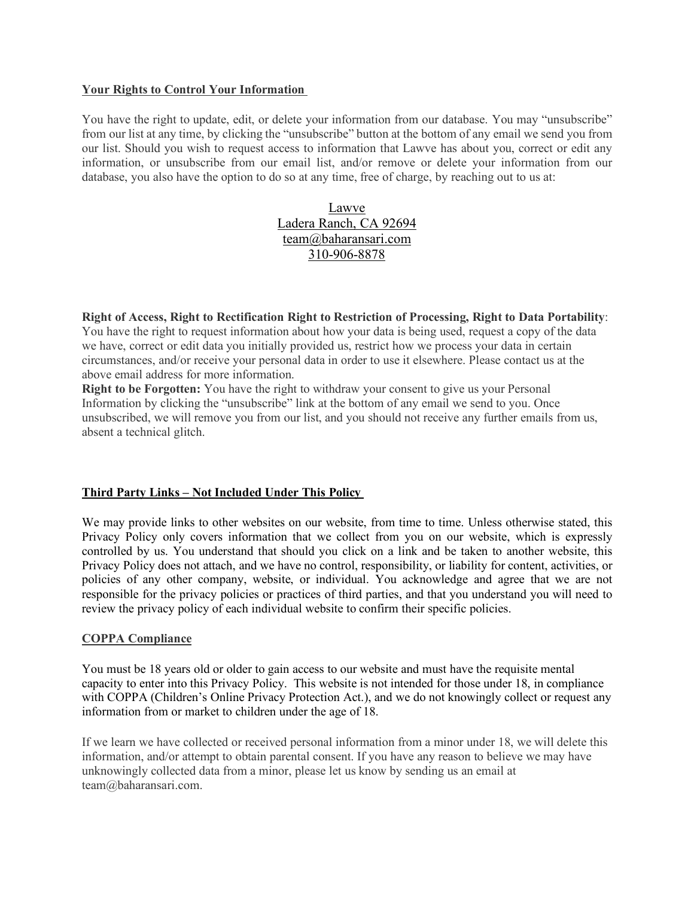#### **Your Rights to Control Your Information**

You have the right to update, edit, or delete your information from our database. You may "unsubscribe" from our list at any time, by clicking the "unsubscribe" button at the bottom of any email we send you from our list. Should you wish to request access to information that Lawve has about you, correct or edit any information, or unsubscribe from our email list, and/or remove or delete your information from our database, you also have the option to do so at any time, free of charge, by reaching out to us at:

# Lawve Ladera Ranch, CA 92694 team@baharansari.com 310-906-8878

**Right of Access, Right to Rectification Right to Restriction of Processing, Right to Data Portability**: You have the right to request information about how your data is being used, request a copy of the data we have, correct or edit data you initially provided us, restrict how we process your data in certain circumstances, and/or receive your personal data in order to use it elsewhere. Please contact us at the above email address for more information.

**Right to be Forgotten:** You have the right to withdraw your consent to give us your Personal Information by clicking the "unsubscribe" link at the bottom of any email we send to you. Once unsubscribed, we will remove you from our list, and you should not receive any further emails from us, absent a technical glitch.

### **Third Party Links – Not Included Under This Policy**

We may provide links to other websites on our website, from time to time. Unless otherwise stated, this Privacy Policy only covers information that we collect from you on our website, which is expressly controlled by us. You understand that should you click on a link and be taken to another website, this Privacy Policy does not attach, and we have no control, responsibility, or liability for content, activities, or policies of any other company, website, or individual. You acknowledge and agree that we are not responsible for the privacy policies or practices of third parties, and that you understand you will need to review the privacy policy of each individual website to confirm their specific policies.

### **COPPA Compliance**

You must be 18 years old or older to gain access to our website and must have the requisite mental capacity to enter into this Privacy Policy. This website is not intended for those under 18, in compliance with COPPA (Children's Online Privacy Protection Act.), and we do not knowingly collect or request any information from or market to children under the age of 18.

If we learn we have collected or received personal information from a minor under 18, we will delete this information, and/or attempt to obtain parental consent. If you have any reason to believe we may have unknowingly collected data from a minor, please let us know by sending us an email at team@baharansari.com.